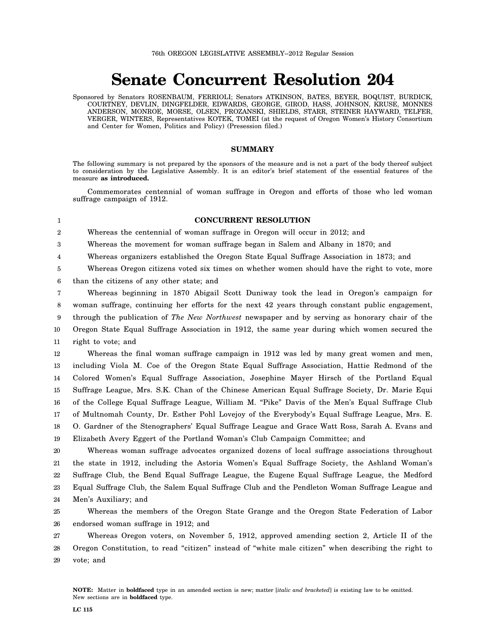## **Senate Concurrent Resolution 204**

Sponsored by Senators ROSENBAUM, FERRIOLI; Senators ATKINSON, BATES, BEYER, BOQUIST, BURDICK, COURTNEY, DEVLIN, DINGFELDER, EDWARDS, GEORGE, GIROD, HASS, JOHNSON, KRUSE, MONNES ANDERSON, MONROE, MORSE, OLSEN, PROZANSKI, SHIELDS, STARR, STEINER HAYWARD, TELFER, VERGER, WINTERS, Representatives KOTEK, TOMEI (at the request of Oregon Women's History Consortium and Center for Women, Politics and Policy) (Presession filed.)

## **SUMMARY**

The following summary is not prepared by the sponsors of the measure and is not a part of the body thereof subject to consideration by the Legislative Assembly. It is an editor's brief statement of the essential features of the measure **as introduced.**

Commemorates centennial of woman suffrage in Oregon and efforts of those who led woman suffrage campaign of 1912.

1

## **CONCURRENT RESOLUTION**

2 Whereas the centennial of woman suffrage in Oregon will occur in 2012; and

3 Whereas the movement for woman suffrage began in Salem and Albany in 1870; and

4 Whereas organizers established the Oregon State Equal Suffrage Association in 1873; and

5 Whereas Oregon citizens voted six times on whether women should have the right to vote, more

6 than the citizens of any other state; and

7 8 9 10 11 Whereas beginning in 1870 Abigail Scott Duniway took the lead in Oregon's campaign for woman suffrage, continuing her efforts for the next 42 years through constant public engagement, through the publication of *The New Northwest* newspaper and by serving as honorary chair of the Oregon State Equal Suffrage Association in 1912, the same year during which women secured the right to vote; and

12 13 14 15 16 17 18 19 Whereas the final woman suffrage campaign in 1912 was led by many great women and men, including Viola M. Coe of the Oregon State Equal Suffrage Association, Hattie Redmond of the Colored Women's Equal Suffrage Association, Josephine Mayer Hirsch of the Portland Equal Suffrage League, Mrs. S.K. Chan of the Chinese American Equal Suffrage Society, Dr. Marie Equi of the College Equal Suffrage League, William M. "Pike" Davis of the Men's Equal Suffrage Club of Multnomah County, Dr. Esther Pohl Lovejoy of the Everybody's Equal Suffrage League, Mrs. E. O. Gardner of the Stenographers' Equal Suffrage League and Grace Watt Ross, Sarah A. Evans and Elizabeth Avery Eggert of the Portland Woman's Club Campaign Committee; and

20 21 22 23 24 Whereas woman suffrage advocates organized dozens of local suffrage associations throughout the state in 1912, including the Astoria Women's Equal Suffrage Society, the Ashland Woman's Suffrage Club, the Bend Equal Suffrage League, the Eugene Equal Suffrage League, the Medford Equal Suffrage Club, the Salem Equal Suffrage Club and the Pendleton Woman Suffrage League and Men's Auxiliary; and

25 26 Whereas the members of the Oregon State Grange and the Oregon State Federation of Labor endorsed woman suffrage in 1912; and

27 28 29 Whereas Oregon voters, on November 5, 1912, approved amending section 2, Article II of the Oregon Constitution, to read "citizen" instead of "white male citizen" when describing the right to vote; and